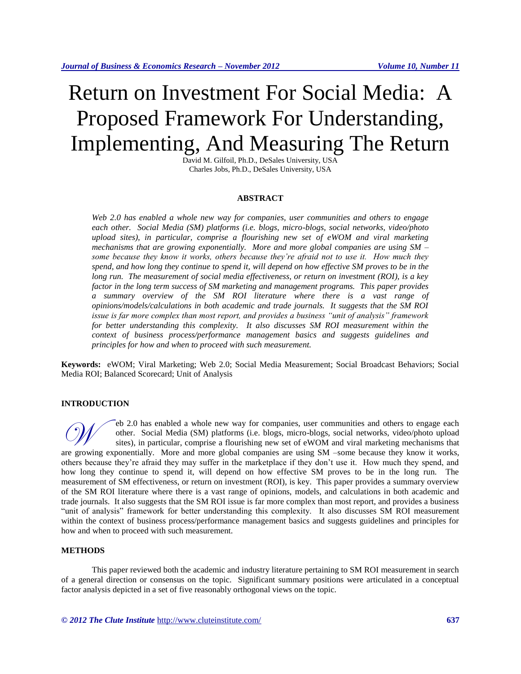# Return on Investment For Social Media: A Proposed Framework For Understanding, Implementing, And Measuring The Return

David M. Gilfoil, Ph.D., DeSales University, USA Charles Jobs, Ph.D., DeSales University, USA

#### **ABSTRACT**

*Web 2.0 has enabled a whole new way for companies, user communities and others to engage each other. Social Media (SM) platforms (i.e. blogs, micro-blogs, social networks, video/photo upload sites), in particular, comprise a flourishing new set of eWOM and viral marketing mechanisms that are growing exponentially. More and more global companies are using SM – some because they know it works, others because they're afraid not to use it. How much they spend, and how long they continue to spend it, will depend on how effective SM proves to be in the long run. The measurement of social media effectiveness, or return on investment (ROI), is a key factor in the long term success of SM marketing and management programs. This paper provides a summary overview of the SM ROI literature where there is a vast range of opinions/models/calculations in both academic and trade journals. It suggests that the SM ROI issue is far more complex than most report, and provides a business "unit of analysis" framework for better understanding this complexity. It also discusses SM ROI measurement within the context of business process/performance management basics and suggests guidelines and principles for how and when to proceed with such measurement.*

**Keywords:** eWOM; Viral Marketing; Web 2.0; Social Media Measurement; Social Broadcast Behaviors; Social Media ROI; Balanced Scorecard; Unit of Analysis

#### **INTRODUCTION**

eb 2.0 has enabled a whole new way for companies, user communities and others to engage each other. Social Media (SM) platforms (i.e. blogs, micro-blogs, social networks, video/photo upload sites), in particular, comprise a flourishing new set of eWOM and viral marketing mechanisms that eb 2.0 has enabled a whole new way for companies, user communities and others to engage each other. Social Media (SM) platforms (i.e. blogs, micro-blogs, social networks, video/photo upload sites), in particular, comprise others because they're afraid they may suffer in the marketplace if they don't use it. How much they spend, and how long they continue to spend it, will depend on how effective SM proves to be in the long run. The measurement of SM effectiveness, or return on investment (ROI), is key. This paper provides a summary overview of the SM ROI literature where there is a vast range of opinions, models, and calculations in both academic and trade journals. It also suggests that the SM ROI issue is far more complex than most report, and provides a business "unit of analysis" framework for better understanding this complexity. It also discusses SM ROI measurement within the context of business process/performance management basics and suggests guidelines and principles for how and when to proceed with such measurement.

#### **METHODS**

This paper reviewed both the academic and industry literature pertaining to SM ROI measurement in search of a general direction or consensus on the topic. Significant summary positions were articulated in a conceptual factor analysis depicted in a set of five reasonably orthogonal views on the topic.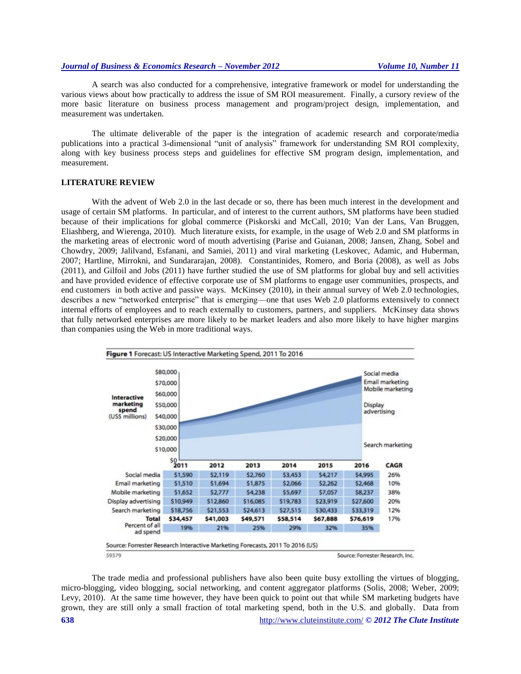A search was also conducted for a comprehensive, integrative framework or model for understanding the various views about how practically to address the issue of SM ROI measurement. Finally, a cursory review of the more basic literature on business process management and program/project design, implementation, and measurement was undertaken.

The ultimate deliverable of the paper is the integration of academic research and corporate/media publications into a practical 3-dimensional "unit of analysis" framework for understanding SM ROI complexity, along with key business process steps and guidelines for effective SM program design, implementation, and measurement.

# **LITERATURE REVIEW**

With the advent of Web 2.0 in the last decade or so, there has been much interest in the development and usage of certain SM platforms. In particular, and of interest to the current authors, SM platforms have been studied because of their implications for global commerce (Piskorski and McCall, 2010; Van der Lans, Van Bruggen, Eliashberg, and Wierenga, 2010). Much literature exists, for example, in the usage of Web 2.0 and SM platforms in the marketing areas of electronic word of mouth advertising (Parise and Guianan, 2008; Jansen, Zhang, Sobel and Chowdry, 2009; Jalilvand, Esfanani, and Samiei, 2011) and viral marketing (Leskovec, Adamic, and Huberman, 2007; Hartline, Mirrokni, and Sundararajan, 2008). Constantinides, Romero, and Boria (2008), as well as Jobs (2011), and Gilfoil and Jobs (2011) have further studied the use of SM platforms for global buy and sell activities and have provided evidence of effective corporate use of SM platforms to engage user communities, prospects, and end customers in both active and passive ways. McKinsey (2010), in their annual survey of Web 2.0 technologies, describes a new "networked enterprise" that is emerging—one that uses Web 2.0 platforms extensively to connect internal efforts of employees and to reach externally to customers, partners, and suppliers. McKinsey data shows that fully networked enterprises are more likely to be market leaders and also more likely to have higher margins than companies using the Web in more traditional ways.



The trade media and professional publishers have also been quite busy extolling the virtues of blogging, micro-blogging, video blogging, social networking, and content aggregator platforms (Solis, 2008; Weber, 2009; Levy, 2010). At the same time however, they have been quick to point out that while SM marketing budgets have grown, they are still only a small fraction of total marketing spend, both in the U.S. and globally. Data from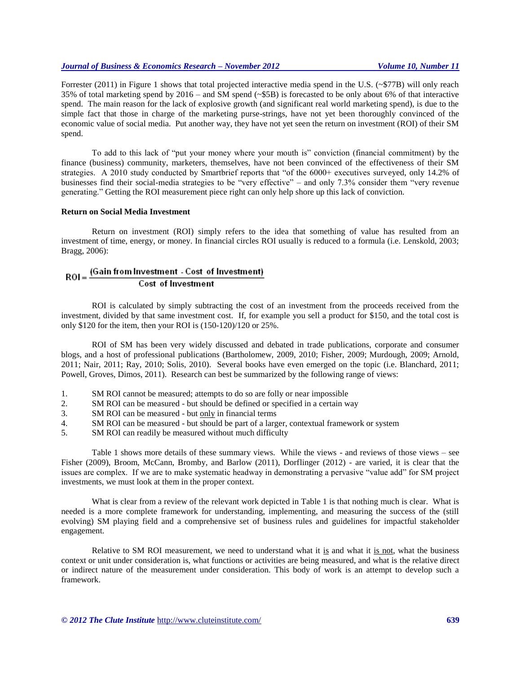Forrester (2011) in Figure 1 shows that total projected interactive media spend in the U.S. (~\$77B) will only reach 35% of total marketing spend by 2016 – and SM spend (~\$5B) is forecasted to be only about 6% of that interactive spend. The main reason for the lack of explosive growth (and significant real world marketing spend), is due to the simple fact that those in charge of the marketing purse-strings, have not yet been thoroughly convinced of the economic value of social media. Put another way, they have not yet seen the return on investment (ROI) of their SM spend.

To add to this lack of "put your money where your mouth is" conviction (financial commitment) by the finance (business) community, marketers, themselves, have not been convinced of the effectiveness of their SM strategies. A 2010 study conducted by Smartbrief reports that "of the 6000+ executives surveyed, only 14.2% of businesses find their social-media strategies to be "very effective" – and only 7.3% consider them "very revenue generating." Getting the ROI measurement piece right can only help shore up this lack of conviction.

# **Return on Social Media Investment**

Return on investment (ROI) simply refers to the idea that something of value has resulted from an investment of time, energy, or money. In financial circles ROI usually is reduced to a formula (i.e. Lenskold, 2003; Bragg, 2006):

#### (Gain from Investment - Cost of Investment)  $ROI =$ **Cost of Investment**

ROI is calculated by simply subtracting the cost of an investment from the proceeds received from the investment, divided by that same investment cost. If, for example you sell a product for \$150, and the total cost is only \$120 for the item, then your ROI is (150-120)/120 or 25%.

ROI of SM has been very widely discussed and debated in trade publications, corporate and consumer blogs, and a host of professional publications (Bartholomew, 2009, 2010; Fisher, 2009; Murdough, 2009; Arnold, 2011; Nair, 2011; Ray, 2010; Solis, 2010). Several books have even emerged on the topic (i.e. Blanchard, 2011; Powell, Groves, Dimos, 2011). Research can best be summarized by the following range of views:

- 1. SM ROI cannot be measured; attempts to do so are folly or near impossible
- 2. SM ROI can be measured but should be defined or specified in a certain way
- 3. SM ROI can be measured but only in financial terms
- 4. SM ROI can be measured but should be part of a larger, contextual framework or system
- 5. SM ROI can readily be measured without much difficulty

Table 1 shows more details of these summary views. While the views - and reviews of those views – see Fisher (2009), Broom, McCann, Bromby, and Barlow (2011), Dorflinger (2012) - are varied, it is clear that the issues are complex. If we are to make systematic headway in demonstrating a pervasive "value add" for SM project investments, we must look at them in the proper context.

What is clear from a review of the relevant work depicted in Table 1 is that nothing much is clear. What is needed is a more complete framework for understanding, implementing, and measuring the success of the (still evolving) SM playing field and a comprehensive set of business rules and guidelines for impactful stakeholder engagement.

Relative to SM ROI measurement, we need to understand what it is and what it is not, what the business context or unit under consideration is, what functions or activities are being measured, and what is the relative direct or indirect nature of the measurement under consideration. This body of work is an attempt to develop such a framework.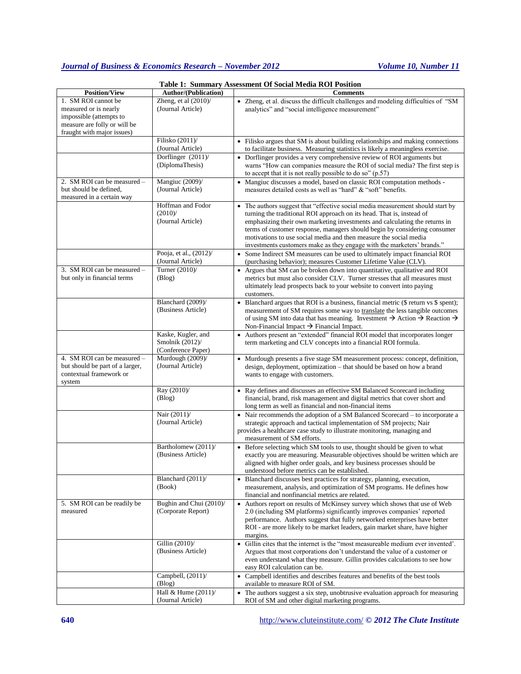|                                                                                                                                       |                                                                | <b>Table 1: Summary Assessment Of Social Media ROI Position</b>                                                                                                                                                                                                                                                                                                                                                                                                   |
|---------------------------------------------------------------------------------------------------------------------------------------|----------------------------------------------------------------|-------------------------------------------------------------------------------------------------------------------------------------------------------------------------------------------------------------------------------------------------------------------------------------------------------------------------------------------------------------------------------------------------------------------------------------------------------------------|
| <b>Position/View</b>                                                                                                                  | <b>Author/(Publication)</b>                                    | <b>Comments</b>                                                                                                                                                                                                                                                                                                                                                                                                                                                   |
| 1. SM ROI cannot be<br>measured or is nearly<br>impossible (attempts to<br>measure are folly or will be<br>fraught with major issues) | Zheng, et al $(2010)$ /<br>(Journal Article)                   | • Zheng, et al. discuss the difficult challenges and modeling difficulties of "SM<br>analytics" and "social intelligence measurement"                                                                                                                                                                                                                                                                                                                             |
|                                                                                                                                       | Filisko (2011)/<br>(Journal Article)                           | • Filisko argues that SM is about building relationships and making connections<br>to facilitate business. Measuring statistics is likely a meaningless exercise.                                                                                                                                                                                                                                                                                                 |
|                                                                                                                                       | Dorflinger (2011)/<br>(DiplomaThesis)                          | • Dorflinger provides a very comprehensive review of ROI arguments but<br>warns "How can companies measure the ROI of social media? The first step is<br>to accept that it is not really possible to do so" $(p.57)$                                                                                                                                                                                                                                              |
| 2. SM ROI can be measured -<br>but should be defined,<br>measured in a certain way                                                    | Mangiuc (2009)/<br>(Journal Article)                           | • Mangiuc discusses a model, based on classic ROI computation methods -<br>measures detailed costs as well as "hard" & "soft" benefits.                                                                                                                                                                                                                                                                                                                           |
|                                                                                                                                       | Hoffman and Fodor<br>$(2010)$ /<br>(Journal Article)           | • The authors suggest that "effective social media measurement should start by<br>turning the traditional ROI approach on its head. That is, instead of<br>emphasizing their own marketing investments and calculating the returns in<br>terms of customer response, managers should begin by considering consumer<br>motivations to use social media and then measure the social media<br>investments customers make as they engage with the marketers' brands." |
|                                                                                                                                       | Pooja, et al., (2012)/<br>(Journal Article)                    | • Some Indirect SM measures can be used to ultimately impact financial ROI<br>(purchasing behavior); measures Customer Lifetime Value (CLV).                                                                                                                                                                                                                                                                                                                      |
| 3. SM ROI can be measured -<br>but only in financial terms                                                                            | Turner (2010)/<br>(Blog)                                       | • Argues that SM can be broken down into quantitative, qualitative and ROI<br>metrics but must also consider CLV. Turner stresses that all measures must<br>ultimately lead prospects back to your website to convert into paying<br>customers.                                                                                                                                                                                                                   |
|                                                                                                                                       | Blanchard (2009)/<br>(Business Article)                        | • Blanchard argues that ROI is a business, financial metric (\$ return vs \$ spent);<br>measurement of SM requires some way to translate the less tangible outcomes<br>of using SM into data that has meaning. Investment $\rightarrow$ Action $\rightarrow$ Reaction $\rightarrow$<br>Non-Financial Impact $\rightarrow$ Financial Impact.                                                                                                                       |
|                                                                                                                                       | Kaske, Kugler, and<br>Smolnik $(2012)$ /<br>(Conference Paper) | • Authors present an "extended" financial ROI model that incorporates longer<br>term marketing and CLV concepts into a financial ROI formula.                                                                                                                                                                                                                                                                                                                     |
| 4. SM ROI can be measured -<br>but should be part of a larger,<br>contextual framework or<br>system                                   | Murdough (2009)/<br>(Journal Article)                          | • Murdough presents a five stage SM measurement process: concept, definition,<br>design, deployment, optimization - that should be based on how a brand<br>wants to engage with customers.                                                                                                                                                                                                                                                                        |
|                                                                                                                                       | Ray (2010)/<br>(Blog)                                          | Ray defines and discusses an effective SM Balanced Scorecard including<br>$\bullet$<br>financial, brand, risk management and digital metrics that cover short and<br>long term as well as financial and non-financial items                                                                                                                                                                                                                                       |
|                                                                                                                                       | Nair (2011)/<br>(Journal Article)                              | • Nair recommends the adoption of a SM Balanced Scorecard – to incorporate a<br>strategic approach and tactical implementation of SM projects; Nair<br>provides a healthcare case study to illustrate monitoring, managing and<br>measurement of SM efforts.                                                                                                                                                                                                      |
|                                                                                                                                       | Bartholomew (2011)/<br>(Business Article)                      | Before selecting which SM tools to use, thought should be given to what<br>exactly you are measuring. Measurable objectives should be written which are<br>aligned with higher order goals, and key business processes should be<br>understood before metrics can be established.                                                                                                                                                                                 |
|                                                                                                                                       | Blanchard (2011)/<br>(Book)                                    | • Blanchard discusses best practices for strategy, planning, execution,<br>measurement, analysis, and optimization of SM programs. He defines how<br>financial and nonfinancial metrics are related.                                                                                                                                                                                                                                                              |
| 5. SM ROI can be readily be<br>measured                                                                                               | Bughin and Chui (2010)/<br>(Corporate Report)                  | Authors report on results of McKinsey survey which shows that use of Web<br>2.0 (including SM platforms) significantly improves companies' reported<br>performance. Authors suggest that fully networked enterprises have better<br>ROI - are more likely to be market leaders, gain market share, have higher<br>margins.                                                                                                                                        |
|                                                                                                                                       | Gillin (2010)/<br>(Business Article)                           | • Gillin cites that the internet is the "most measureable medium ever invented".<br>Argues that most corporations don't understand the value of a customer or<br>even understand what they measure. Gillin provides calculations to see how<br>easy ROI calculation can be.                                                                                                                                                                                       |
|                                                                                                                                       | Campbell, $(2011)$ /<br>(Blog)                                 | • Campbell identifies and describes features and benefits of the best tools<br>available to measure ROI of SM.                                                                                                                                                                                                                                                                                                                                                    |
|                                                                                                                                       | Hall & Hume (2011)/<br>(Journal Article)                       | • The authors suggest a six step, unobtrusive evaluation approach for measuring<br>ROI of SM and other digital marketing programs.                                                                                                                                                                                                                                                                                                                                |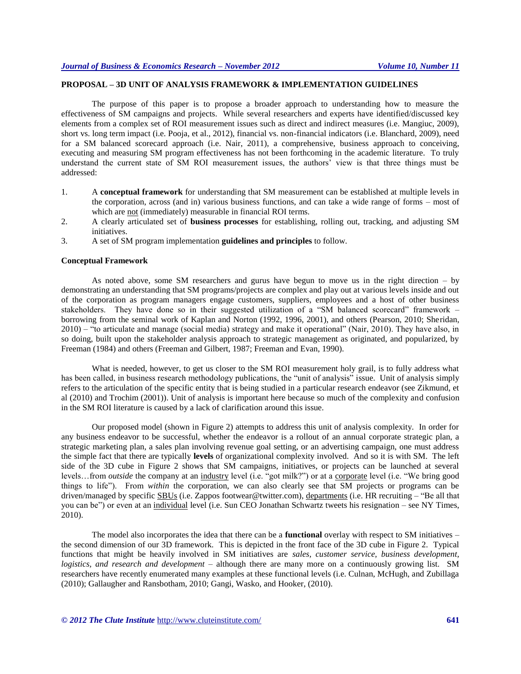# **PROPOSAL – 3D UNIT OF ANALYSIS FRAMEWORK & IMPLEMENTATION GUIDELINES**

The purpose of this paper is to propose a broader approach to understanding how to measure the effectiveness of SM campaigns and projects. While several researchers and experts have identified/discussed key elements from a complex set of ROI measurement issues such as direct and indirect measures (i.e. Mangiuc, 2009), short vs. long term impact (i.e. Pooja, et al., 2012), financial vs. non-financial indicators (i.e. Blanchard, 2009), need for a SM balanced scorecard approach (i.e. Nair, 2011), a comprehensive, business approach to conceiving, executing and measuring SM program effectiveness has not been forthcoming in the academic literature. To truly understand the current state of SM ROI measurement issues, the authors' view is that three things must be addressed:

- 1. A **conceptual framework** for understanding that SM measurement can be established at multiple levels in the corporation, across (and in) various business functions, and can take a wide range of forms – most of which are not (immediately) measurable in financial ROI terms.
- 2. A clearly articulated set of **business processes** for establishing, rolling out, tracking, and adjusting SM initiatives.
- 3. A set of SM program implementation **guidelines and principles** to follow.

#### **Conceptual Framework**

As noted above, some SM researchers and gurus have begun to move us in the right direction – by demonstrating an understanding that SM programs/projects are complex and play out at various levels inside and out of the corporation as program managers engage customers, suppliers, employees and a host of other business stakeholders. They have done so in their suggested utilization of a "SM balanced scorecard" framework – borrowing from the seminal work of Kaplan and Norton (1992, 1996, 2001), and others (Pearson, 2010; Sheridan, 2010) – "to articulate and manage (social media) strategy and make it operational" (Nair, 2010). They have also, in so doing, built upon the stakeholder analysis approach to strategic management as originated, and popularized, by Freeman (1984) and others (Freeman and Gilbert, 1987; Freeman and Evan, 1990).

What is needed, however, to get us closer to the SM ROI measurement holy grail, is to fully address what has been called, in business research methodology publications, the "unit of analysis" issue. Unit of analysis simply refers to the articulation of the specific entity that is being studied in a particular research endeavor (see Zikmund, et al (2010) and Trochim (2001)). Unit of analysis is important here because so much of the complexity and confusion in the SM ROI literature is caused by a lack of clarification around this issue.

Our proposed model (shown in Figure 2) attempts to address this unit of analysis complexity. In order for any business endeavor to be successful, whether the endeavor is a rollout of an annual corporate strategic plan, a strategic marketing plan, a sales plan involving revenue goal setting, or an advertising campaign, one must address the simple fact that there are typically **levels** of organizational complexity involved. And so it is with SM. The left side of the 3D cube in Figure 2 shows that SM campaigns, initiatives, or projects can be launched at several levels…from *outside* the company at an industry level (i.e. "got milk?") or at a corporate level (i.e. "We bring good things to life"). From *within* the corporation, we can also clearly see that SM projects or programs can be driven/managed by specific **SBUs** (i.e. Zappos footwear@twitter.com), departments (i.e. HR recruiting – "Be all that you can be") or even at an individual level (i.e. Sun CEO Jonathan Schwartz tweets his resignation – see NY Times, 2010).

The model also incorporates the idea that there can be a **functional** overlay with respect to SM initiatives – the second dimension of our 3D framework. This is depicted in the front face of the 3D cube in Figure 2. Typical functions that might be heavily involved in SM initiatives are *sales, customer service, business development, logistics, and research and development –* although there are many more on a continuously growing list. SM researchers have recently enumerated many examples at these functional levels (i.e. Culnan, McHugh, and Zubillaga (2010); Gallaugher and Ransbotham, 2010; Gangi, Wasko, and Hooker, (2010).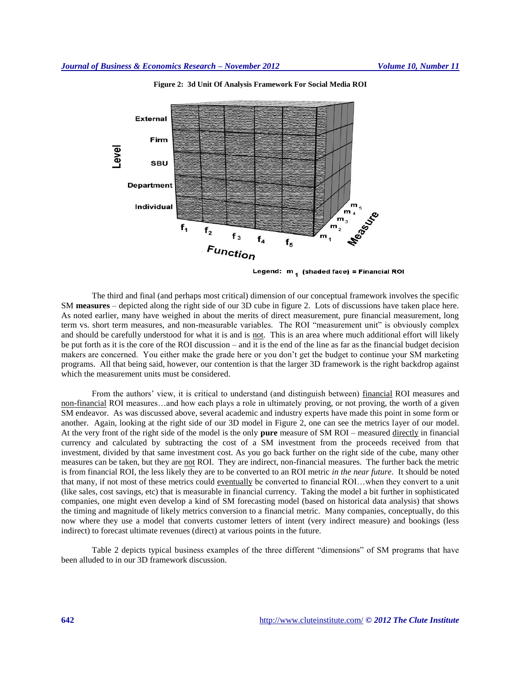

**Figure 2: 3d Unit Of Analysis Framework For Social Media ROI**

Legend:  $m_1$  (shaded face) = Financial ROI

The third and final (and perhaps most critical) dimension of our conceptual framework involves the specific SM **measures** – depicted along the right side of our 3D cube in figure 2. Lots of discussions have taken place here. As noted earlier, many have weighed in about the merits of direct measurement, pure financial measurement, long term vs. short term measures, and non-measurable variables. The ROI "measurement unit" is obviously complex and should be carefully understood for what it is and is not. This is an area where much additional effort will likely be put forth as it is the core of the ROI discussion – and it is the end of the line as far as the financial budget decision makers are concerned. You either make the grade here or you don't get the budget to continue your SM marketing programs. All that being said, however, our contention is that the larger 3D framework is the right backdrop against which the measurement units must be considered.

From the authors' view, it is critical to understand (and distinguish between) financial ROI measures and non-financial ROI measures…and how each plays a role in ultimately proving, or not proving, the worth of a given SM endeavor. As was discussed above, several academic and industry experts have made this point in some form or another. Again, looking at the right side of our 3D model in Figure 2, one can see the metrics layer of our model. At the very front of the right side of the model is the only **pure** measure of SM ROI – measured directly in financial currency and calculated by subtracting the cost of a SM investment from the proceeds received from that investment, divided by that same investment cost. As you go back further on the right side of the cube, many other measures can be taken, but they are not ROI. They are indirect, non-financial measures. The further back the metric is from financial ROI, the less likely they are to be converted to an ROI metric *in the near future*. It should be noted that many, if not most of these metrics could eventually be converted to financial ROI…when they convert to a unit (like sales, cost savings, etc) that is measurable in financial currency. Taking the model a bit further in sophisticated companies, one might even develop a kind of SM forecasting model (based on historical data analysis) that shows the timing and magnitude of likely metrics conversion to a financial metric. Many companies, conceptually, do this now where they use a model that converts customer letters of intent (very indirect measure) and bookings (less indirect) to forecast ultimate revenues (direct) at various points in the future.

Table 2 depicts typical business examples of the three different "dimensions" of SM programs that have been alluded to in our 3D framework discussion.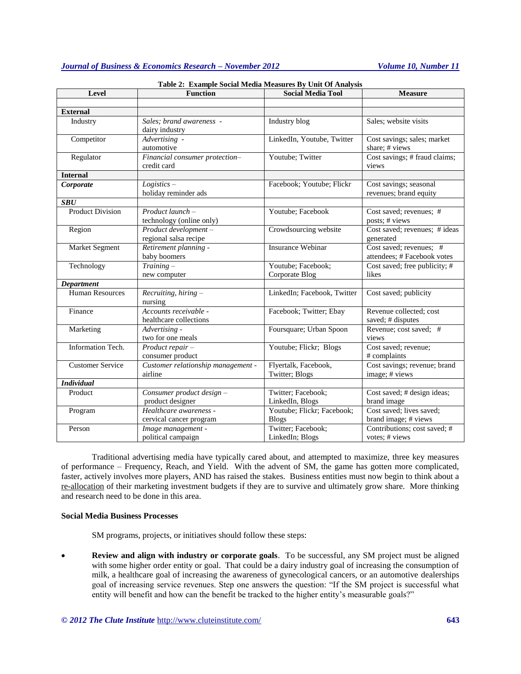| <b>Function</b><br>Level |                                                   | <b>Social Media Tool</b>                   | <b>Measure</b>                                         |  |
|--------------------------|---------------------------------------------------|--------------------------------------------|--------------------------------------------------------|--|
|                          |                                                   |                                            |                                                        |  |
| <b>External</b>          |                                                   |                                            |                                                        |  |
| Industry                 | Sales; brand awareness -<br>dairy industry        | Industry blog                              | Sales; website visits                                  |  |
| Competitor               | Advertising -<br>automotive                       | LinkedIn, Youtube, Twitter                 | Cost savings; sales; market<br>share; # views          |  |
| Regulator                | Financial consumer protection-<br>credit card     | Youtube; Twitter                           | Cost savings; # fraud claims;<br>views                 |  |
| <b>Internal</b>          |                                                   |                                            |                                                        |  |
| Corporate                | $Logistics -$<br>holiday reminder ads             | Facebook; Youtube; Flickr                  | Cost savings; seasonal<br>revenues; brand equity       |  |
| <b>SBU</b>               |                                                   |                                            |                                                        |  |
| <b>Product Division</b>  | Product launch-<br>technology (online only)       | Youtube; Facebook                          | Cost saved; revenues; #<br>posts; # views              |  |
| Region                   | Product development-<br>regional salsa recipe     | Crowdsourcing website                      | Cost saved; revenues; # ideas<br>generated             |  |
| Market Segment           | Retirement planning -<br>baby boomers             | <b>Insurance Webinar</b>                   | Cost saved; revenues; #<br>attendees; # Facebook votes |  |
| Technology               | $Training -$<br>new computer                      | Youtube; Facebook;<br>Corporate Blog       | Cost saved; free publicity; #<br>likes                 |  |
| Department               |                                                   |                                            |                                                        |  |
| <b>Human Resources</b>   | Recruiting, hiring -<br>nursing                   | LinkedIn; Facebook, Twitter                | Cost saved; publicity                                  |  |
| Finance                  | Accounts receivable -<br>healthcare collections   | Facebook; Twitter; Ebay                    | Revenue collected; cost<br>saved; # disputes           |  |
| Marketing                | Advertising -<br>two for one meals                | Foursquare; Urban Spoon                    | Revenue; cost saved; #<br>views                        |  |
| Information Tech.        | Product repair-<br>consumer product               | Youtube; Flickr; Blogs                     | Cost saved; revenue;<br># complaints                   |  |
| <b>Customer Service</b>  | Customer relationship management -<br>airline     | Flyertalk, Facebook,<br>Twitter; Blogs     | Cost savings; revenue; brand<br>image; # views         |  |
| <b>Individual</b>        |                                                   |                                            |                                                        |  |
| Product                  | Consumer product design -<br>product designer     | Twitter; Facebook;<br>LinkedIn, Blogs      | Cost saved; # design ideas;<br>brand image             |  |
| Program                  | Healthcare awareness -<br>cervical cancer program | Youtube; Flickr; Facebook;<br><b>Blogs</b> | Cost saved; lives saved;<br>brand image; # views       |  |
| Person                   | Image management -<br>political campaign          | Twitter; Facebook;<br>LinkedIn; Blogs      | Contributions; cost saved; #<br>votes: # views         |  |

| Table 2: Example Social Media Measures By Unit Of Analysis |  |  |  |  |  |
|------------------------------------------------------------|--|--|--|--|--|
|------------------------------------------------------------|--|--|--|--|--|

Traditional advertising media have typically cared about, and attempted to maximize, three key measures of performance – Frequency, Reach, and Yield. With the advent of SM, the game has gotten more complicated, faster, actively involves more players, AND has raised the stakes. Business entities must now begin to think about a re-allocation of their marketing investment budgets if they are to survive and ultimately grow share. More thinking and research need to be done in this area.

#### **Social Media Business Processes**

SM programs, projects, or initiatives should follow these steps:

 **Review and align with industry or corporate goals**. To be successful, any SM project must be aligned with some higher order entity or goal. That could be a dairy industry goal of increasing the consumption of milk, a healthcare goal of increasing the awareness of gynecological cancers, or an automotive dealerships goal of increasing service revenues. Step one answers the question: "If the SM project is successful what entity will benefit and how can the benefit be tracked to the higher entity's measurable goals?"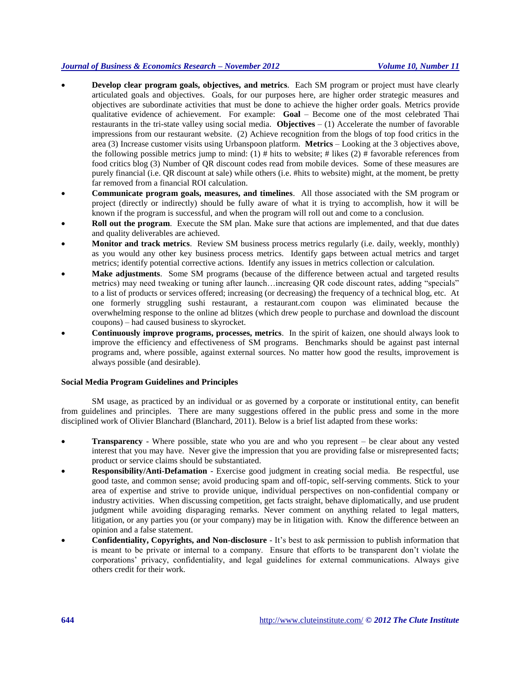- **Develop clear program goals, objectives, and metrics**. Each SM program or project must have clearly articulated goals and objectives. Goals, for our purposes here, are higher order strategic measures and objectives are subordinate activities that must be done to achieve the higher order goals. Metrics provide qualitative evidence of achievement. For example: **Goal** – Become one of the most celebrated Thai restaurants in the tri-state valley using social media. **Objectives** – (1) Accelerate the number of favorable impressions from our restaurant website. (2) Achieve recognition from the blogs of top food critics in the area (3) Increase customer visits using Urbanspoon platform. **Metrics** – Looking at the 3 objectives above, the following possible metrics jump to mind:  $(1)$  # hits to website; # likes  $(2)$  # favorable references from food critics blog (3) Number of QR discount codes read from mobile devices. Some of these measures are purely financial (i.e. QR discount at sale) while others (i.e. #hits to website) might, at the moment, be pretty far removed from a financial ROI calculation.
- **Communicate program goals, measures, and timelines**. All those associated with the SM program or project (directly or indirectly) should be fully aware of what it is trying to accomplish, how it will be known if the program is successful, and when the program will roll out and come to a conclusion.
- **Roll out the program.** Execute the SM plan. Make sure that actions are implemented, and that due dates and quality deliverables are achieved.
- **Monitor and track metrics**. Review SM business process metrics regularly (i.e. daily, weekly, monthly) as you would any other key business process metrics. Identify gaps between actual metrics and target metrics; identify potential corrective actions. Identify any issues in metrics collection or calculation.
- **Make adjustments**. Some SM programs (because of the difference between actual and targeted results metrics) may need tweaking or tuning after launch…increasing QR code discount rates, adding "specials" to a list of products or services offered; increasing (or decreasing) the frequency of a technical blog, etc. At one formerly struggling sushi restaurant, a restaurant.com coupon was eliminated because the overwhelming response to the online ad blitzes (which drew people to purchase and download the discount coupons) – had caused business to skyrocket.
- **Continuously improve programs, processes, metrics**. In the spirit of kaizen, one should always look to improve the efficiency and effectiveness of SM programs. Benchmarks should be against past internal programs and, where possible, against external sources. No matter how good the results, improvement is always possible (and desirable).

#### **Social Media Program Guidelines and Principles**

SM usage, as practiced by an individual or as governed by a corporate or institutional entity, can benefit from guidelines and principles. There are many suggestions offered in the public press and some in the more disciplined work of Olivier Blanchard (Blanchard, 2011). Below is a brief list adapted from these works:

- **Transparency** Where possible, state who you are and who you represent be clear about any vested interest that you may have. Never give the impression that you are providing false or misrepresented facts; product or service claims should be substantiated.
- **Responsibility/Anti-Defamation** Exercise good judgment in creating social media. Be respectful, use good taste, and common sense; avoid producing spam and off-topic, self-serving comments. Stick to your area of expertise and strive to provide unique, individual perspectives on non-confidential company or industry activities. When discussing competition, get facts straight, behave diplomatically, and use prudent judgment while avoiding disparaging remarks. Never comment on anything related to legal matters, litigation, or any parties you (or your company) may be in litigation with. Know the difference between an opinion and a false statement.
- **Confidentiality, Copyrights, and Non-disclosure**  It's best to ask permission to publish information that is meant to be private or internal to a company. Ensure that efforts to be transparent don't violate the corporations' privacy, confidentiality, and legal guidelines for external communications. Always give others credit for their work.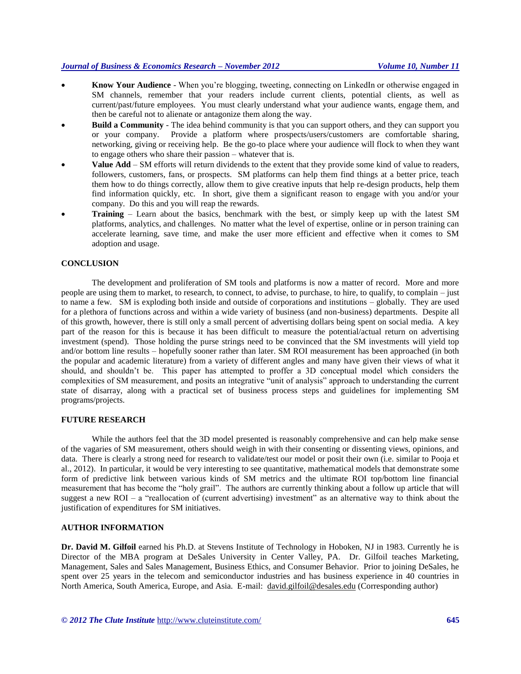- **Know Your Audience**  When you're blogging, tweeting, connecting on LinkedIn or otherwise engaged in SM channels, remember that your readers include current clients, potential clients, as well as current/past/future employees. You must clearly understand what your audience wants, engage them, and then be careful not to alienate or antagonize them along the way.
- **Build a Community** The idea behind community is that you can support others, and they can support you or your company. Provide a platform where prospects/users/customers are comfortable sharing, networking, giving or receiving help. Be the go-to place where your audience will flock to when they want to engage others who share their passion – whatever that is.
- **Value Add** SM efforts will return dividends to the extent that they provide some kind of value to readers, followers, customers, fans, or prospects. SM platforms can help them find things at a better price, teach them how to do things correctly, allow them to give creative inputs that help re-design products, help them find information quickly, etc. In short, give them a significant reason to engage with you and/or your company. Do this and you will reap the rewards.
- **Training** Learn about the basics, benchmark with the best, or simply keep up with the latest SM platforms, analytics, and challenges. No matter what the level of expertise, online or in person training can accelerate learning, save time, and make the user more efficient and effective when it comes to SM adoption and usage.

#### **CONCLUSION**

The development and proliferation of SM tools and platforms is now a matter of record. More and more people are using them to market, to research, to connect, to advise, to purchase, to hire, to qualify, to complain – just to name a few. SM is exploding both inside and outside of corporations and institutions – globally. They are used for a plethora of functions across and within a wide variety of business (and non-business) departments. Despite all of this growth, however, there is still only a small percent of advertising dollars being spent on social media. A key part of the reason for this is because it has been difficult to measure the potential/actual return on advertising investment (spend). Those holding the purse strings need to be convinced that the SM investments will yield top and/or bottom line results – hopefully sooner rather than later. SM ROI measurement has been approached (in both the popular and academic literature) from a variety of different angles and many have given their views of what it should, and shouldn't be. This paper has attempted to proffer a 3D conceptual model which considers the complexities of SM measurement, and posits an integrative "unit of analysis" approach to understanding the current state of disarray, along with a practical set of business process steps and guidelines for implementing SM programs/projects.

#### **FUTURE RESEARCH**

While the authors feel that the 3D model presented is reasonably comprehensive and can help make sense of the vagaries of SM measurement, others should weigh in with their consenting or dissenting views, opinions, and data. There is clearly a strong need for research to validate/test our model or posit their own (i.e. similar to Pooja et al., 2012). In particular, it would be very interesting to see quantitative, mathematical models that demonstrate some form of predictive link between various kinds of SM metrics and the ultimate ROI top/bottom line financial measurement that has become the "holy grail". The authors are currently thinking about a follow up article that will suggest a new ROI – a "reallocation of (current advertising) investment" as an alternative way to think about the justification of expenditures for SM initiatives.

#### **AUTHOR INFORMATION**

**Dr. David M. Gilfoil** earned his Ph.D. at Stevens Institute of Technology in Hoboken, NJ in 1983. Currently he is Director of the MBA program at DeSales University in Center Valley, PA. Dr. Gilfoil teaches Marketing, Management, Sales and Sales Management, Business Ethics, and Consumer Behavior. Prior to joining DeSales, he spent over 25 years in the telecom and semiconductor industries and has business experience in 40 countries in North America, South America, Europe, and Asia. E-mail: [david.gilfoil@desales.edu](mailto:david.gilfoil@desales.edu) (Corresponding author)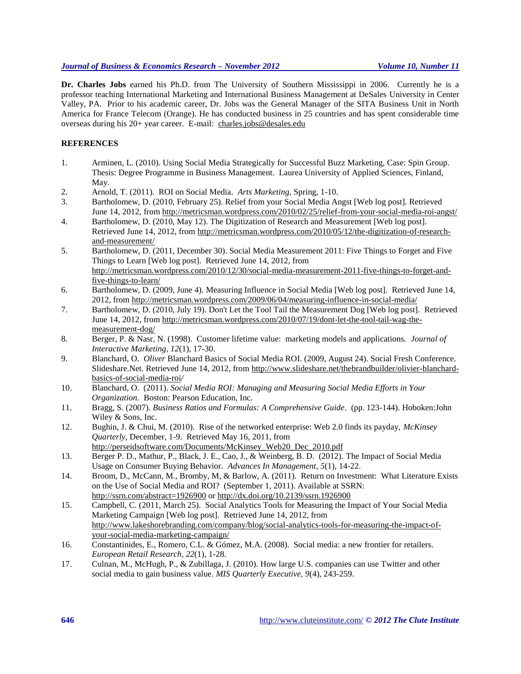**Dr. Charles Jobs** earned his Ph.D. from The University of Southern Mississippi in 2006. Currently he is a professor teaching International Marketing and International Business Management at DeSales University in Center Valley, PA. Prior to his academic career, Dr. Jobs was the General Manager of the SITA Business Unit in North America for France Telecom (Orange). He has conducted business in 25 countries and has spent considerable time overseas during his 20+ year career. E-mail: [charles.jobs@desales.edu](mailto:charles.jobs@desales.edu)

# **REFERENCES**

- 1. Arminen, L. (2010). Using Social Media Strategically for Successful Buzz Marketing, Case: Spin Group. Thesis: Degree Programme in Business Management. Laurea University of Applied Sciences, Finland, May.
- 2. Arnold, T. (2011). ROI on Social Media. *Arts Marketing*, Spring, 1-10.
- 3. Bartholomew, D. (2010, February 25). Relief from your Social Media Angst [Web log post]. Retrieved June 14, 2012, from<http://metricsman.wordpress.com/2010/02/25/relief-from-your-social-media-roi-angst/>
- 4. Bartholomew, D. (2010, May 12). The Digitization of Research and Measurement [Web log post]. Retrieved June 14, 2012, from [http://metricsman.wordpress.com/2010/05/12/the-digitization-of-research](http://metricsman.wordpress.com/2010/05/12/the-digitization-of-research-and-measurement/)[and-measurement/](http://metricsman.wordpress.com/2010/05/12/the-digitization-of-research-and-measurement/)
- 5. Bartholomew, D. (2011, December 30). Social Media Measurement 2011: Five Things to Forget and Five Things to Learn [Web log post]. Retrieved June 14, 2012, from [http://metricsman.wordpress.com/2010/12/30/social-media-measurement-2011-five-things-to-forget-and](http://metricsman.wordpress.com/2010/12/30/social-media-measurement-2011-five-things-to-forget-and-five-things-to-learn/)[five-things-to-learn/](http://metricsman.wordpress.com/2010/12/30/social-media-measurement-2011-five-things-to-forget-and-five-things-to-learn/)
- 6. Bartholomew, D. (2009, June 4). Measuring Influence in Social Media [Web log post]. Retrieved June 14, 2012, from<http://metricsman.wordpress.com/2009/06/04/measuring-influence-in-social-media/>
- 7. Bartholomew, D. (2010, July 19). Don't Let the Tool Tail the Measurement Dog [Web log post]. Retrieved June 14, 2012, from [http://metricsman.wordpress.com/2010/07/19/dont-let-the-tool-tail-wag-the](http://metricsman.wordpress.com/2010/07/19/dont-let-the-tool-tail-wag-the-measurement-dog/)[measurement-dog/](http://metricsman.wordpress.com/2010/07/19/dont-let-the-tool-tail-wag-the-measurement-dog/)
- 8. Berger, P. & Nasr, N. (1998). Customer lifetime value: marketing models and applications. *Journal of Interactive Marketing, 12*(1), 17-30.
- 9. Blanchard, O. *[Oliver](http://www.google.com/url?sa=t&rct=j&q=oliver%20blanchard%202009%20roi&source=web&cd=4&ved=0CFwQFjAD&url=http%3A%2F%2Fwww.slideshare.net%2Fthebrandbuilder%2Folivier-blanchard-basics-of-social-media-roi&ei=l8fET_-lAqrp6QHgt7C4Cg&usg=AFQjCNGImi5iIUHiCW4j4M-tu1heUDt1gw)* Blanchard Basics of Social Media ROI. (2009, August 24). Social Fresh Conference. Slideshare.Net. Retrieved June 14, 2012, fro[m http://www.slideshare.net/thebrandbuilder/olivier-blanchard](http://www.slideshare.net/thebrandbuilder/olivier-blanchard-basics-of-social-media-roi)[basics-of-social-media-roi](http://www.slideshare.net/thebrandbuilder/olivier-blanchard-basics-of-social-media-roi)*/*
- 10. Blanchard, O. (2011). *Social Media ROI: Managing and Measuring Social Media Efforts in Your Organization.* Boston: Pearson Education, Inc.
- 11. Bragg, S. (2007). *Business Ratios and Formulas: A Comprehensive Guide*. (pp. 123-144). Hoboken:John Wiley & Sons, Inc.
- 12. Bughin, J. & Chui, M. (2010). Rise of the networked enterprise: Web 2.0 finds its payday, *McKinsey Quarterly*, December, 1-9. Retrieved May 16, 2011, from http://perseidsoftware.com/Documents/McKinsey\_Web20\_Dec\_2010.pdf
- 13. Berger P. D., Mathur, P., Black, J. E., Cao, J., & Weinberg, B. D. (2012). The Impact of Social Media Usage on Consumer Buying Behavior. *[Advances In Management](http://econpapers.repec.org/article/mgnjournl/)*, *5*(1), 14-22.
- 14. Broom, D., McCann, M., Bromby, M, & Barlow, A. (2011). Return on Investment: What Literature Exists on the Use of Social Media and ROI? (September 1, 2011). Available at SSRN: http://ssrn.com/abstract=1926900 o[r http://dx.doi.org/10.2139/ssrn.1926900](http://dx.doi.org/10.2139/ssrn.1926900)
- 15. Campbell, C. (2011, March 25). Social Analytics Tools for Measuring the Impact of Your Social Media Marketing Campaign [Web log post]. Retrieved June 14, 2012, from [http://www.lakeshorebranding.com/company/blog/social-analytics-tools-for-measuring-the-impact-of](http://www.lakeshorebranding.com/company/blog/social-analytics-tools-for-measuring-the-impact-of-your-)[your-s](http://www.lakeshorebranding.com/company/blog/social-analytics-tools-for-measuring-the-impact-of-your-)ocial-media-marketing-campaign/
- 16. Constantinides, E., Romero, C.L. & Gómez, M.A. (2008). Social media: a new frontier for retailers. *European Retail Research, 22*(1), 1-28.
- 17. Culnan, M., McHugh, P., & Zubillaga, J. (2010). How large U.S. companies can use Twitter and other social media to gain business value. *MIS Quarterly Executive, 9*(4), 243-259.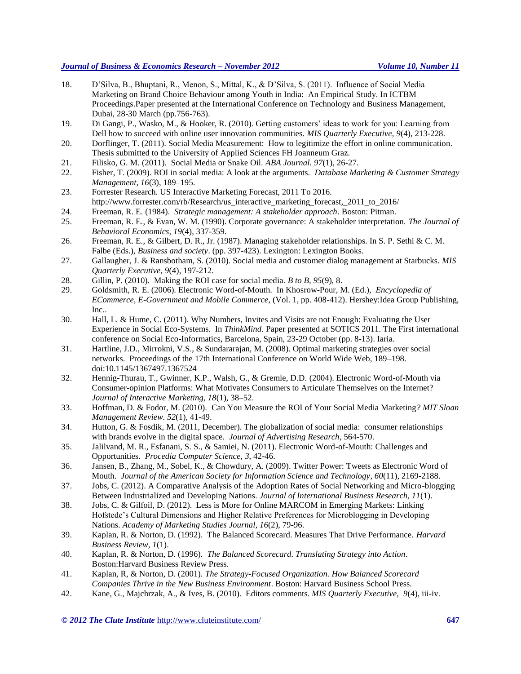- 18. D'Silva, B., Bhuptani, R., Menon, S., Mittal, K., & D'Silva, S. (2011). Influence of Social Media Marketing on Brand Choice Behaviour among Youth in India: An Empirical Study. In ICTBM Proceedings.Paper presented at the International Conference on Technology and Business Management, Dubai, 28-30 March (pp.756-763).
- 19. Di Gangi, P., Wasko, M., & Hooker, R. (2010). Getting customers' ideas to work for you: Learning from Dell how to succeed with online user innovation communities. *MIS Quarterly Executive*, *9*(4), 213-228.
- 20. Dorflinger, T. (2011). Social Media Measurement: How to legitimize the effort in online communication. Thesis submitted to the University of Applied Sciences FH Joanneum Graz.
- 21. Filisko, G. M. (2011). Social Media or Snake Oil. *ABA Journal. 97*(1), 26-27.
- 22. Fisher, T. (2009). ROI in social media: A look at the arguments. *Database Marketing & Customer Strategy Management, 16*(3), 189–195.
- 23. Forrester Research. US Interactive Marketing Forecast, 2011 To 2016. [http://www.forrester.com/rb/Research/us\\_interactive\\_marketing\\_forecast,\\_2011\\_to\\_2016/](http://www.forrester.com/rb/Research/us_interactive_marketing_forecast,_2011_to_2016/)
- 24. Freeman, R. E. (1984). *Strategic management: A stakeholder approach*. Boston: Pitman.
- 25. Freeman, R. E., & Evan, W. M. (1990). Corporate governance: A stakeholder interpretation. *The Journal of Behavioral Economics, 19*(4), 337-359.
- 26. Freeman, R. E., & Gilbert, D. R., Jr. (1987). Managing stakeholder relationships. In S. P. Sethi & C. M. Falbe (Eds.), *Business and society*. (pp. 397-423). Lexington: Lexington Books.
- 27. Gallaugher, J. & Ransbotham, S. (2010). Social media and customer dialog management at Starbucks. *MIS Quarterly Executive, 9*(4), 197-212.
- 28. Gillin, P. (2010). Making the ROI case for social media. *B to B, 95*(9), 8.
- 29. Goldsmith, R. E. (2006). Electronic Word-of-Mouth. In Khosrow-Pour, M. (Ed.), *Encyclopedia of ECommerce, E-Government and Mobile Commerce*, (Vol. 1, pp. 408-412). Hershey:Idea Group Publishing, Inc..
- 30. Hall, L. & Hume, C. (2011). Why Numbers, Invites and Visits are not Enough: Evaluating the User Experience in Social Eco-Systems. In *ThinkMind*. Paper presented at SOTICS 2011. The First international conference on Social Eco-Informatics, Barcelona, Spain, 23-29 October (pp. 8-13). Iaria.
- 31. Hartline, J.D., Mirrokni, V.S., & Sundararajan, M. (2008). Optimal marketing strategies over social networks. Proceedings of the 17th International Conference on World Wide Web, 189–198. doi:10.1145/1367497.1367524
- 32. Hennig-Thurau, T., Gwinner, K.P., Walsh, G., & Gremle, D.D. (2004). Electronic Word-of-Mouth via Consumer-opinion Platforms: What Motivates Consumers to Articulate Themselves on the Internet? *Journal of Interactive Marketing, 18*(1), 38–52.
- 33. Hoffman, D. & Fodor, M. (2010). Can You Measure the ROI of Your Social Media Marketing*? MIT Sloan Management Review. 52*(1), 41-49.
- 34. Hutton, G. & Fosdik, M. (2011, December). The globalization of social media: consumer relationships with brands evolve in the digital space. *Journal of Advertising Research*, 564-570.
- 35. Jalilvand, M. R., Esfanani, S. S., & Samiei, N. (2011). Electronic Word-of-Mouth: Challenges and Opportunities. *Procedia Computer Science, 3*, 42-46.
- 36. Jansen, B., Zhang, M., Sobel, K., & Chowdury, A. (2009). Twitter Power: Tweets as Electronic Word of Mouth. *Journal of the American Society for Information Science and Technology, 60*(11), 2169-2188.
- 37. Jobs, C. (2012). A Comparative Analysis of the Adoption Rates of Social Networking and Micro-blogging Between Industrialized and Developing Nations. *Journal of International Business Research, 11*(1).
- 38. Jobs, C. & Gilfoil, D. (2012). Less is More for Online MARCOM in Emerging Markets: Linking Hofstede's Cultural Dimensions and Higher Relative Preferences for Microblogging in Developing Nations. *Academy of Marketing Studies Journal, 16*(2), 79-96.
- 39. Kaplan, R. & Norton, D. (1992). The Balanced Scorecard. Measures That Drive Performance. *Harvard Business Review, 1*(1).
- 40. Kaplan, R. & Norton, D. (1996). *The Balanced Scorecard. Translating Strategy into Action*. Boston:Harvard Business Review Press.
- 41. Kaplan, R, & Norton, D. (2001). *The Strategy-Focused Organization. How Balanced Scorecard Companies Thrive in the New Business Environment*. Boston: Harvard Business School Press.
- 42. Kane, G., Majchrzak, A., & Ives, B. (2010). Editors comments. *MIS Quarterly Executive, 9*(4), iii-iv.

*© 2012 The Clute Institute* http://www.cluteinstitute.com/ **647**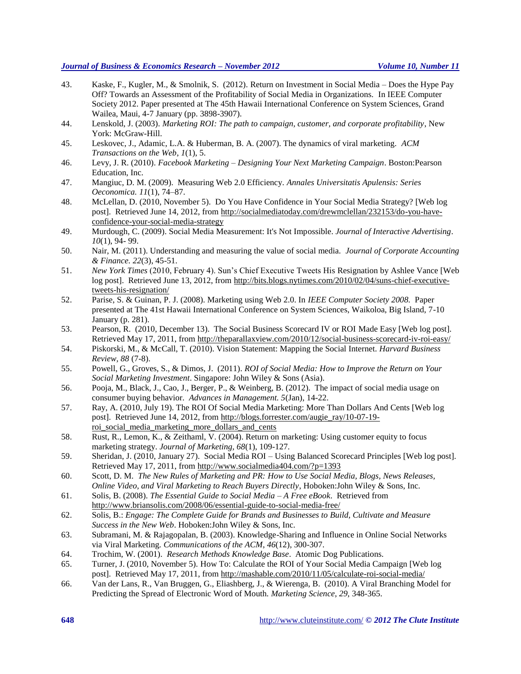- 43. Kaske, F., Kugler, M., & Smolnik, S. (2012). Return on Investment in Social Media Does the Hype Pay Off? Towards an Assessment of the Profitability of Social Media in Organizations. In IEEE Computer Society 2012. Paper presented at The 45th Hawaii International Conference on System Sciences, Grand Wailea, Maui, 4-7 January (pp. 3898-3907).
- 44. Lenskold, J. (2003). *Marketing ROI: The path to campaign, customer, and corporate profitability*, New York: McGraw-Hill.
- 45. Leskovec, J., Adamic, L.A. & Huberman, B. A. (2007). The dynamics of viral marketing. *ACM Transactions on the Web*, *1*(1), 5.
- 46. Levy, J. R. (2010). *Facebook Marketing – Designing Your Next Marketing Campaign*. Boston:Pearson Education, Inc.
- 47. Mangiuc, D. M. (2009). Measuring Web 2.0 Efficiency. *Annales Universitatis Apulensis: Series Oeconomica. 11*(1), 74–87.
- 48. McLellan, D. (2010, November 5). Do You Have Confidence in Your Social Media Strategy? [Web log post]. Retrieved June 14, 2012, fro[m http://socialmediatoday.com/drewmclellan/232153/do-you-have](http://socialmediatoday.com/drewmclellan/232153/do-you-have-confidence-your-social-media-strategy)[confidence-your-social-media-strategy](http://socialmediatoday.com/drewmclellan/232153/do-you-have-confidence-your-social-media-strategy)
- 49. Murdough, C. (2009). Social Media Measurement: It's Not Impossible. *Journal of Interactive Advertising*. *10*(1), 94- 99.
- 50. Nair, M. (2011). Understanding and measuring the value of social media. *Journal of Corporate Accounting & Finance. 22*(3), 45-51.
- 51. *New York Times* (2010, February 4). Sun's Chief Executive Tweets His Resignation by [Ashlee](http://bits.blogs.nytimes.com/author/ashlee-vance/) Vance [Web log post]. Retrieved June 13, 2012, from [http://bits.blogs.nytimes.com/2010/02/04/suns-chief-executive](http://bits.blogs.nytimes.com/2010/02/04/suns-chief-executive-tweets-his-resignation/)[tweets-his-resignation/](http://bits.blogs.nytimes.com/2010/02/04/suns-chief-executive-tweets-his-resignation/)
- 52. Parise, S. & Guinan, P. J. (2008). Marketing using Web 2.0. In *IEEE Computer Society 2008.* Paper presented at The 41st Hawaii International Conference on System Sciences, Waikoloa, Big Island, 7-10 January (p. 281).
- 53. Pearson, R. (2010, December 13). The Social Business Scorecard IV or ROI Made Easy [Web log post]. Retrieved May 17, 2011, from<http://theparallaxview.com/2010/12/social-business-scorecard-iv-roi-easy/>
- 54. Piskorski, M., & McCall, T. (2010). Vision Statement: Mapping the Social Internet. *Harvard Business Review, 88* (7-8).
- 55. Powell, G., Groves, S., & Dimos, J. (2011). *ROI of Social Media: How to Improve the Return on Your Social Marketing Investment*. Singapore: John Wiley & Sons (Asia).
- 56. Pooja, M., Black, J., Cao, J., Berger, P., & Weinberg, B. (2012). The impact of social media usage on consumer buying behavior. *Advances in Management. 5*(Jan), 14-22.
- 57. Ray, A. (2010, July 19). The ROI Of Social Media Marketing: More Than Dollars And Cents [Web log post]. Retrieved June 14, 2012, fro[m http://blogs.forrester.com/augie\\_ray/10-07-19](http://blogs.forrester.com/augie_ray/10-07-19-) roi\_social\_media\_marketing\_more\_dollars\_and\_cents
- 58. Rust, R., Lemon, K., & Zeithaml, V. (2004). Return on marketing: Using customer equity to focus marketing strategy. *Journal of Marketing, 68*(1), 109-127.
- 59. Sheridan, J. (2010, January 27). Social Media ROI Using Balanced Scorecard Principles [Web log post]. Retrieved May 17, 2011, from<http://www.socialmedia404.com/?p=1393>
- 60. Scott, D. M. *The New Rules of Marketing and PR: How to Use Social Media, Blogs, News Releases, Online Video, and Viral Marketing to Reach Buyers Directly*, Hoboken:John Wiley & Sons, Inc.
- 61. Solis, B. (2008). *The Essential Guide to Social Media – A Free eBook*. Retrieved from <http://www.briansolis.com/2008/06/essential-guide-to-social-media-free/>
- 62. Solis, B.: *Engage: The Complete Guide for Brands and Businesses to Build, Cultivate and Measure Success in the New Web*. Hoboken:John Wiley & Sons, Inc.
- 63. Subramani, M. & Rajagopalan, B. (2003). Knowledge-Sharing and Influence in Online Social Networks via Viral Marketing*. Communications of the ACM*, *46*(12), 300-307.
- 64. Trochim, W. (2001). *Research Methods Knowledge Base*. Atomic Dog Publications.
- 65. Turner, J. (2010, November 5). How To: Calculate the ROI of Your Social Media Campaign [Web log post]. Retrieved May 17, 2011, from http://mashable.com/2010/11/05/calculate-roi-social-media/
- 66. Van der Lans, R., Van Bruggen, G., Eliashberg, J., & Wierenga, B. (2010). A Viral Branching Model for Predicting the Spread of Electronic Word of Mouth. *Marketing Science*, *29*, 348-365.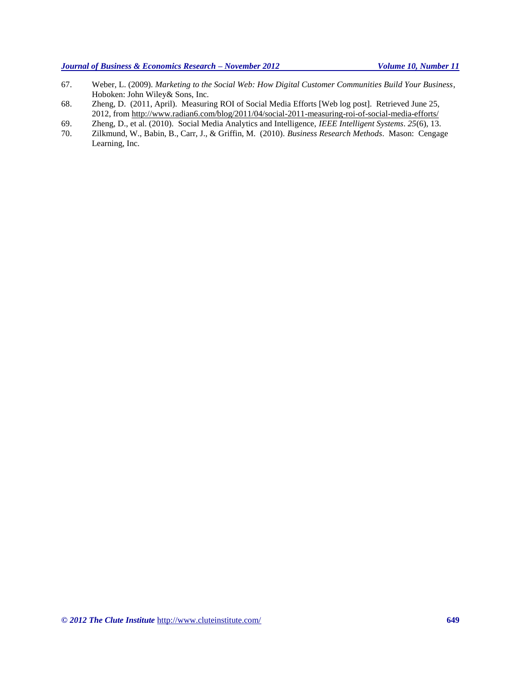- 67. Weber, L. (2009). *Marketing to the Social Web: How Digital Customer Communities Build Your Business*, Hoboken: John Wiley& Sons, Inc.
- 68. Zheng, D. (2011, April). Measuring ROI of Social Media Efforts [Web log post]. Retrieved June 25, 2012, from<http://www.radian6.com/blog/2011/04/social-2011-measuring-roi-of-social-media-efforts/>
- 69. Zheng, D., et al. (2010). Social Media Analytics and Intelligence, *IEEE Intelligent Systems*. *25*(6), 13.
- 70. Zilkmund, W., Babin, B., Carr, J., & Griffin, M. (2010). *Business Research Methods*. Mason: Cengage Learning, Inc.